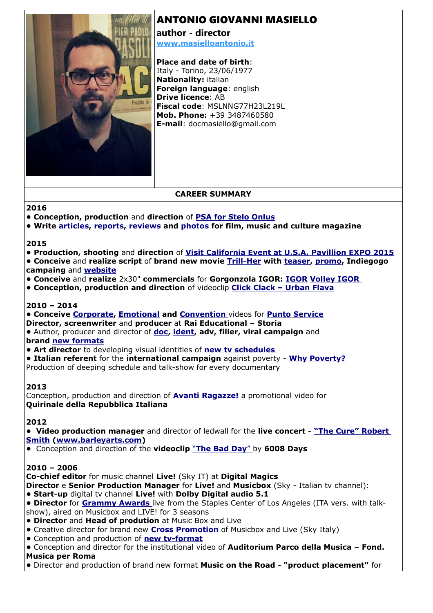# ANTONIO GIOVANNI MASIELLO



**author - director [www.masielloantonio.it](http://www.masielloantonio.it/)**

**Place and date of birth**: Italy - Torino, 23/06/1977 **Nationality:** italian **Foreign language**: english **Drive licence**: AB **Fiscal code**: MSLNNG77H23L219L **Mob. Phone:** +39 3487460580 **E-mail**: docmasiello@gmail.com

# **CAREER SUMMARY**

#### **2016**

- **Conception, production** and **direction** of **[PSA for Stelo Onlus](https://www.youtube.com/watch?v=fJt_AwusZJ8)**
- **Write [article](http://www.loudvision.it/afterhours-folfiri-o-folfox/)s, [reports](http://www.loudvision.it/max-gazze-in-concerto-al-flower-festival-di-collegno-report-live-e-scaletta/), [reviews](http://www.loudvision.it/bea-sanjust-larosa/) and [photos](http://www.loudvision.it/?fotogallery=todays-festival-2016-la-fotogallery) for film, music and culture magazine**

#### **2015**

- **Production, shooting** and **direction** of **[Visit California Event at U.S.A. Pavillion EXPO 2015](https://www.youtube.com/watch?v=IbFU3H6HWyk)**
- **Conceive** and **realize script** of **brand new movie [Trill-Her](http://www.rareplots.flazio.com/) with [teaser,](https://www.youtube.com/watch?v=ORe4MoXP9TQ) [promo,](https://www.youtube.com/watch?v=9WM158ETqN4) Indiegogo campaing** and **[website](http://www.rareplots.flazio.com/)**
- **Conceive** and **realize** 2x30" **commercials** for **Gorgonzola IGOR: [IGOR](https://www.youtube.com/watch?v=n3CmQKnVYuI) [Volley IGOR](https://www.youtube.com/watch?v=Ji7ud7Is4RE)**
- **Conception, production and direction** of videoclip **[Click Clack Urban Flava](http://vimeo.com/94004206)**

#### **2010 – 2014**

**• Conceive [Corporate,](https://www.youtube.com/watch?v=fSb8bo9M-J4) [Emotional](https://www.youtube.com/watch?v=IsEYZacWl9I) and [Convention](https://www.youtube.com/watch?v=nWL4NT1-Jpc)** videos for **[Punto Service](http://www.puntoservice.org/) Director, screenwriter** and **producer** at **Rai Educational – Storia •** Author, producer and director of **[doc,](https://www.youtube.com/watch?v=8ZoVNTyiCiI&list) [ident,](https://www.youtube.com/watch?v=4x28FfWqaJs) adv, filler, viral campaign** and

#### **brand [new formats](https://www.youtube.com/watch?v=I8h6SijkQv4)**

- **Art director** to developing visual identities of **[new tv schedules](https://www.youtube.com/watch?v=4x28FfWqaJs)**
- **Italian referent** for the **international campaign** against poverty **[Why Poverty?](http://www.raistoria.rai.it/categorie/why-poverty/474/1/default.aspx)**

Production of deeping schedule and talk-show for every documentary

### **2013**

Conception, production and direction of **[Avanti Ragazze!](https://www.youtube.com/watch?v=rzwg-Ly7Ovo)** a promotional video for **Quirinale della Repubblica Italiana**

### **2012**

**• Video production manager** and director of ledwall for the **live concert - ["The Cure"](https://www.youtube.com/watch?v=QoJnr8HZwtU) [Robert](http://www.youtube.com/watch?v=91whXZgrJas%20)  [Smith](http://www.youtube.com/watch?v=91whXZgrJas%20) [\(www.barleyarts.com\)](http://www.barleyarts.com/)**

**•** Conception and direction of the **videoclip** " **[The Bad Day](https://www.youtube.com/watch?v=Jb5XOCsvtDU)**" by **6008 Days**

### **2010 – 2006**

**Co-chief editor** for music channel **Live!** (Sky IT) at **Digital Magics**

**Director** e **Senior Production Manager** for **Live!** and **Musicbox** (Sky - Italian tv channel):

- **Start-up** digital tv channel **Live!** with **Dolby Digital audio 5.1**
- **Director** for **[Grammy Awards](http://www.digital-news.it/news/sky-italia/17075/grammy-awards-stanotte-alle-2-in-diretta-esclusiva-music-box-sky-canale-717)** live from the Staples Center of Los Angeles (ITA vers. with talkshow), aired on Musicbox and LIVE! for 3 seasons
- **Director** and **Head of prodution** at Music Box and Live
- Creative director for brand new **[Cross Promotion](https://www.youtube.com/watch?v=Q7U1BzElpoU)** of Musicbox and Live (Sky Italy)
- Conception and production of **[new tv-format](https://www.youtube.com/watch?v=5IrY8Uvf8Dk)**
- Conception and director for the institutional video of **Auditorium Parco della Musica Fond. Musica per Roma**
- Director and production of brand new format **Music on the Road "product placement"** for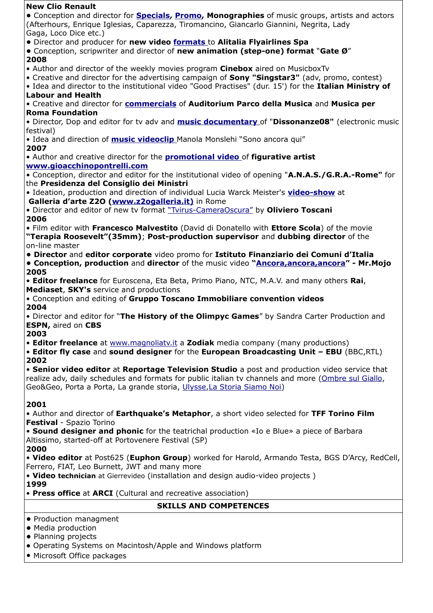| <b>New Clio Renault</b>                                                                                                                                                                                         |
|-----------------------------------------------------------------------------------------------------------------------------------------------------------------------------------------------------------------|
| • Conception and director for <b>Specials, Promo, Monographies</b> of music groups, artists and actors<br>(Afterhours, Enrique Iglesias, Caparezza, Tiromancino, Giancarlo Giannini, Negrita, Lady              |
| Gaga, Loco Dice etc.)                                                                                                                                                                                           |
| • Director and producer for new video formats to Alitalia Flyairlines Spa<br>• Conception, scripwriter and director of new animation (step-one) format "Gate Ø"<br>2008                                         |
| • Author and director of the weekly movies program Cinebox aired on MusicboxTv                                                                                                                                  |
| • Creative and director for the advertising campaign of <b>Sony "Singstar3"</b> (adv, promo, contest)<br>. Idea and director to the institutional video "Good Practises" (dur. 15') for the Italian Ministry of |
| <b>Labour and Health</b>                                                                                                                                                                                        |
| • Creative and director for <b>commercials</b> of Auditorium Parco della Musica and Musica per<br><b>Roma Foundation</b>                                                                                        |
| • Director, Dop and editor for tv adv and <b>music documentary</b> of "Dissonanze08" (electronic music<br>festival)                                                                                             |
| • Idea and direction of <b>music videoclip</b> Manola Monslehi "Sono ancora qui"                                                                                                                                |
| 2007<br>. Author and creative director for the <b>promotional video</b> of figurative artist                                                                                                                    |
| www.gioacchinopontrelli.com                                                                                                                                                                                     |
| • Conception, director and editor for the institutional video of opening "A.N.A.S./G.R.A.-Rome" for                                                                                                             |
| the Presidenza del Consiglio dei Ministri<br>. Ideation, production and direction of individual Lucia Warck Meister's video-show at                                                                             |
| Galleria d'arte Z20 (www.z2ogalleria.it) in Rome                                                                                                                                                                |
| . Director and editor of new tv format "Tvirus-CameraOscura" by Oliviero Toscani<br>2006                                                                                                                        |
| • Film editor with Francesco Malvestito (David di Donatello with Ettore Scola) of the movie<br>"Terapia Roosevelt"(35mm); Post-production supervisor and dubbing director of the                                |
| on-line master                                                                                                                                                                                                  |
| . Director and editor corporate video promo for Istituto Finanziario dei Comuni d'Italia<br><b>• Conception, production</b> and director of the music video "Ancora, ancora, ancora" - Mr. Mojo<br>2005         |
| . Editor freelance for Euroscena, Eta Beta, Primo Piano, NTC, M.A.V. and many others Rai,<br>Mediaset, SKY's service and productions                                                                            |
| • Conception and editing of Gruppo Toscano Immobiliare convention videos                                                                                                                                        |
| 2004<br>. Director and editor for "The History of the Olimpyc Games" by Sandra Carter Production and                                                                                                            |
| <b>ESPN, aired on CBS</b><br>2003                                                                                                                                                                               |
| • Editor freelance at www.magnoliaty.it a Zodiak media company (many productions)<br>• Editor fly case and sound designer for the European Broadcasting Unit - EBU (BBC, RTL)<br>2002                           |
| • Senior video editor at Reportage Television Studio a post and production video service that                                                                                                                   |
| realize adv, daily schedules and formats for public italian tv channels and more (Ombre sul Giallo,<br>Geo&Geo, Porta a Porta, La grande storia, Ulysse, La Storia Siamo Noi)                                   |
| 2001                                                                                                                                                                                                            |
| . Author and director of Earthquake's Metaphor, a short video selected for TFF Torino Film                                                                                                                      |
| Festival - Spazio Torino<br>• Sound designer and phonic for the teatrichal production «Io e Blue» a piece of Barbara                                                                                            |
| Altissimo, started-off at Portovenere Festival (SP)                                                                                                                                                             |
| 2000<br>• Video editor at Post625 (Euphon Group) worked for Harold, Armando Testa, BGS D'Arcy, RedCell,                                                                                                         |
| Ferrero, FIAT, Leo Burnett, JWT and many more<br>. Video technician at Gierrevideo (installation and design audio-video projects)                                                                               |
| 1999<br>• Press office at ARCI (Cultural and recreative association)                                                                                                                                            |
| <b>SKILLS AND COMPETENCES</b>                                                                                                                                                                                   |
| • Production managment                                                                                                                                                                                          |
| • Media production                                                                                                                                                                                              |
| • Planning projects                                                                                                                                                                                             |
| • Operating Systems on Macintosh/Apple and Windows platform                                                                                                                                                     |

• Microsoft Office packages